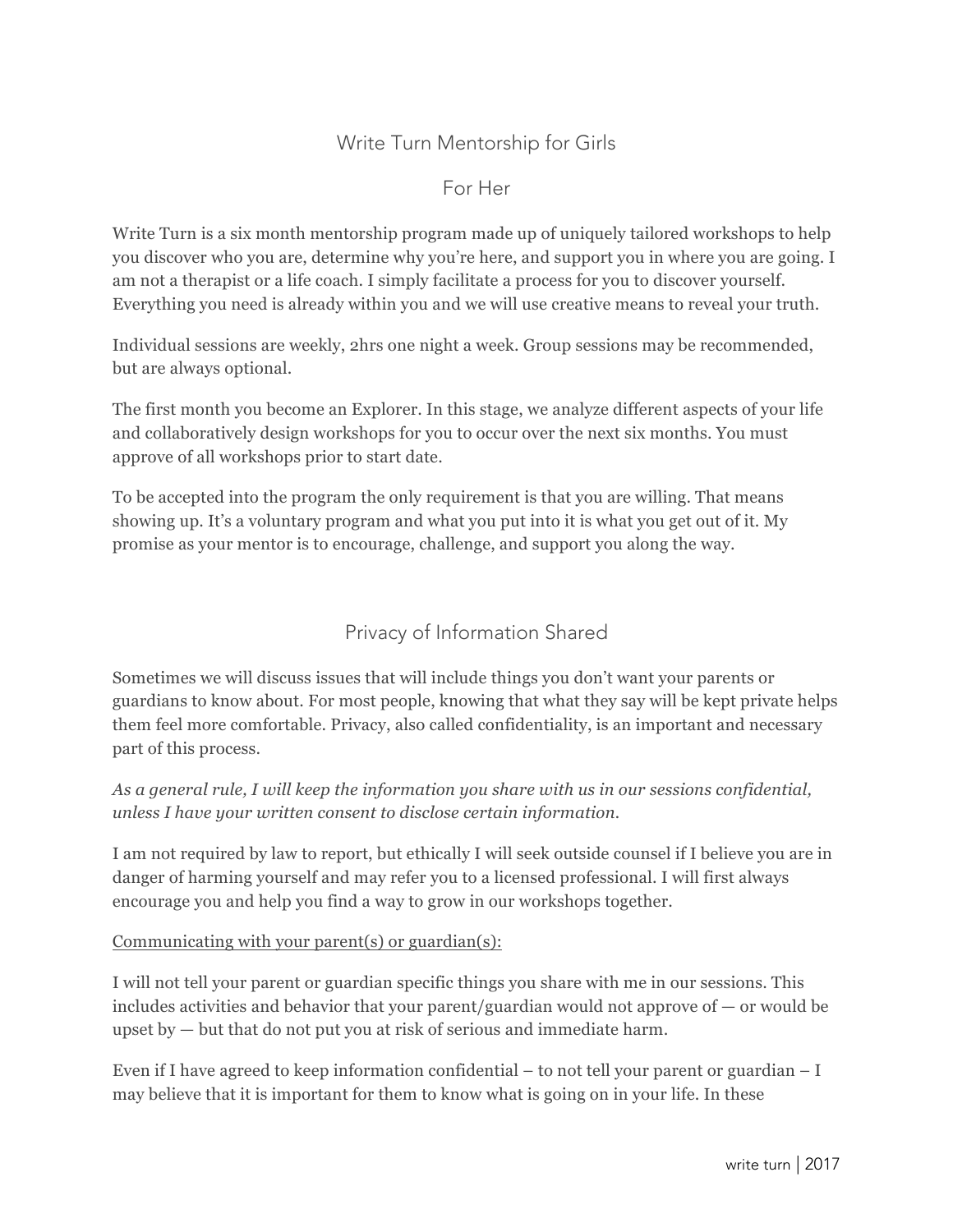# Write Turn Mentorship for Girls

### For Her

Write Turn is a six month mentorship program made up of uniquely tailored workshops to help you discover who you are, determine why you're here, and support you in where you are going. I am not a therapist or a life coach. I simply facilitate a process for you to discover yourself. Everything you need is already within you and we will use creative means to reveal your truth.

Individual sessions are weekly, 2hrs one night a week. Group sessions may be recommended, but are always optional.

The first month you become an Explorer. In this stage, we analyze different aspects of your life and collaboratively design workshops for you to occur over the next six months. You must approve of all workshops prior to start date.

To be accepted into the program the only requirement is that you are willing. That means showing up. It's a voluntary program and what you put into it is what you get out of it. My promise as your mentor is to encourage, challenge, and support you along the way.

# Privacy of Information Shared

Sometimes we will discuss issues that will include things you don't want your parents or guardians to know about. For most people, knowing that what they say will be kept private helps them feel more comfortable. Privacy, also called confidentiality, is an important and necessary part of this process.

*As a general rule, I will keep the information you share with us in our sessions confidential, unless I have your written consent to disclose certain information.*

I am not required by law to report, but ethically I will seek outside counsel if I believe you are in danger of harming yourself and may refer you to a licensed professional. I will first always encourage you and help you find a way to grow in our workshops together.

### Communicating with your parent(s) or guardian(s):

I will not tell your parent or guardian specific things you share with me in our sessions. This includes activities and behavior that your parent/guardian would not approve of — or would be upset by — but that do not put you at risk of serious and immediate harm.

Even if I have agreed to keep information confidential – to not tell your parent or guardian – I may believe that it is important for them to know what is going on in your life. In these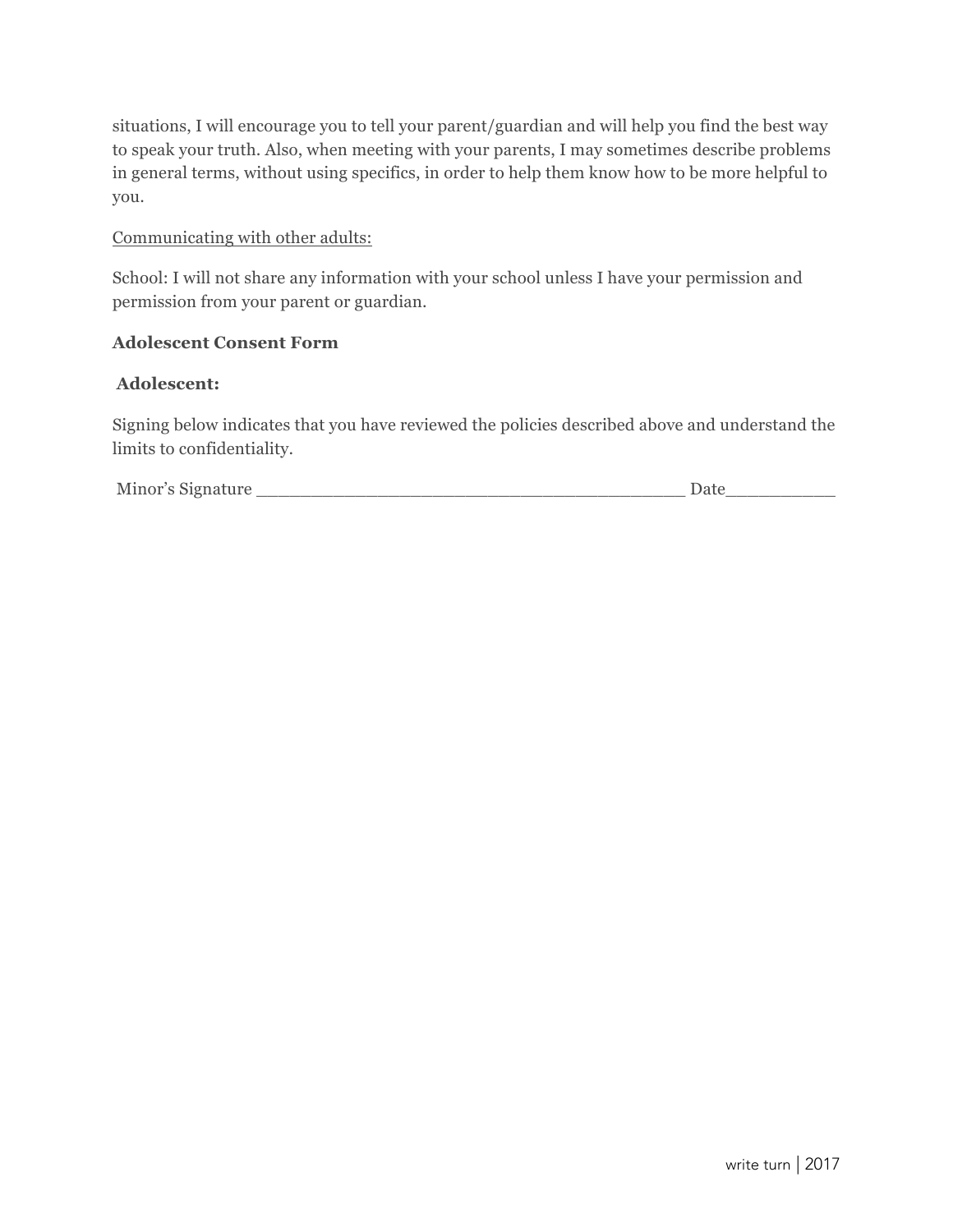situations, I will encourage you to tell your parent/guardian and will help you find the best way to speak your truth. Also, when meeting with your parents, I may sometimes describe problems in general terms, without using specifics, in order to help them know how to be more helpful to you.

#### Communicating with other adults:

School: I will not share any information with your school unless I have your permission and permission from your parent or guardian.

#### **Adolescent Consent Form**

#### **Adolescent:**

Signing below indicates that you have reviewed the policies described above and understand the limits to confidentiality.

| Minor's Signature | )at |
|-------------------|-----|
|                   |     |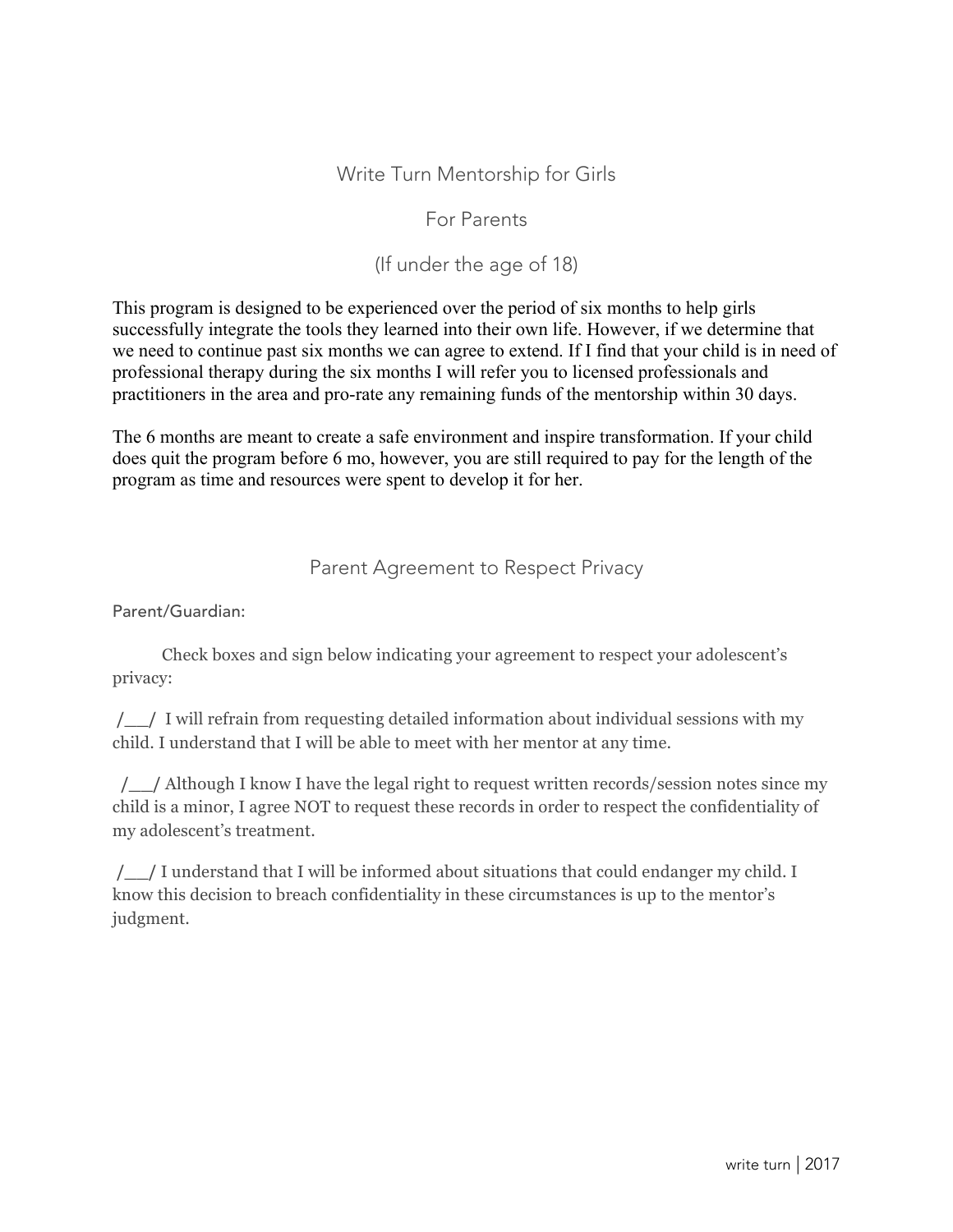## Write Turn Mentorship for Girls

### For Parents

## (If under the age of 18)

This program is designed to be experienced over the period of six months to help girls successfully integrate the tools they learned into their own life. However, if we determine that we need to continue past six months we can agree to extend. If I find that your child is in need of professional therapy during the six months I will refer you to licensed professionals and practitioners in the area and pro-rate any remaining funds of the mentorship within 30 days.

The 6 months are meant to create a safe environment and inspire transformation. If your child does quit the program before 6 mo, however, you are still required to pay for the length of the program as time and resources were spent to develop it for her.

## Parent Agreement to Respect Privacy

Parent/Guardian:

 Check boxes and sign below indicating your agreement to respect your adolescent's privacy:

**/\_\_/** I will refrain from requesting detailed information about individual sessions with my child. I understand that I will be able to meet with her mentor at any time.

**/\_\_/** Although I know I have the legal right to request written records/session notes since my child is a minor, I agree NOT to request these records in order to respect the confidentiality of my adolescent's treatment.

**/\_\_/** I understand that I will be informed about situations that could endanger my child. I know this decision to breach confidentiality in these circumstances is up to the mentor's judgment.